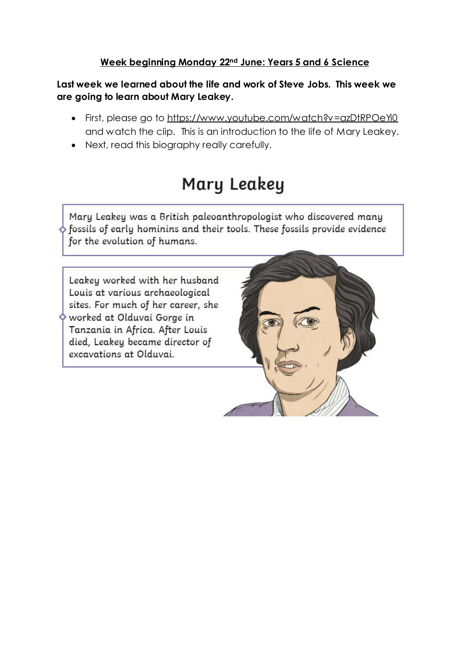#### **Week beginning Monday 22nd June: Years 5 and 6 Science**

**Last week we learned about the life and work of Steve Jobs. This week we are going to learn about Mary Leakey.**

- First, please go to https://www.youtube.com/watch?v=azDtRPOeYi0 and watch the clip. This is an introduction to the life of Mary Leakey.
- Next, read this biography really carefully.

## Mary Leakey

Mary Leakey was a British paleoanthropologist who discovered many  $\diamond$  fossils of early hominins and their tools. These fossils provide evidence for the evolution of humans.

Leakey worked with her husband Louis at various archaeological sites. For much of her career, she worked at Olduvai Gorge in Tanzania in Africa. After Louis died, Leakey became director of excavations at Olduvai.

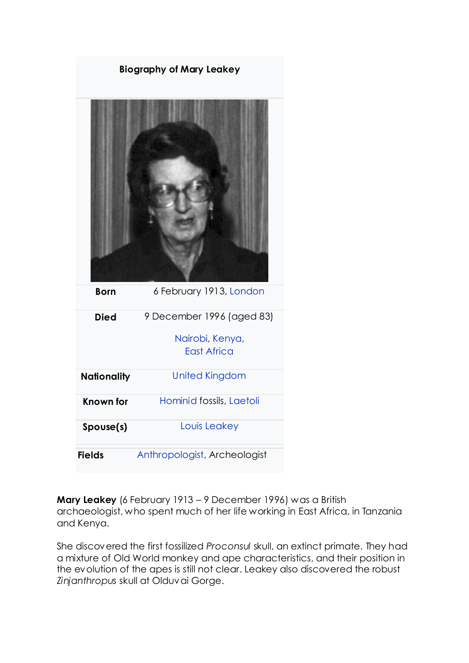| <b>Biography of Mary Leakey</b> |                                       |  |  |
|---------------------------------|---------------------------------------|--|--|
|                                 |                                       |  |  |
| <b>Born</b>                     | 6 February 1913, London               |  |  |
| <b>Died</b>                     | 9 December 1996 (aged 83)             |  |  |
|                                 | Nairobi, Kenya,<br><b>East Africa</b> |  |  |
| <b>Nationality</b>              | <b>United Kingdom</b>                 |  |  |
| <b>Known for</b>                | Hominid fossils, Laetoli              |  |  |
| Spouse(s)                       | Louis Leakey                          |  |  |
| <b>Fields</b>                   | Anthropologist, Archeologist          |  |  |

**Mary Leakey** (6 February 1913 – 9 December 1996) was a British archaeologist, who spent much of her life working in East [Africa,](https://kids.kiddle.co/East_Africa) in [Tanzania](https://kids.kiddle.co/Tanzania) and [Kenya.](https://kids.kiddle.co/Kenya)

She discovered the first fossilized *Proconsul* skull, an extinct primate. They had a mixture of Old World [monkey](https://kids.kiddle.co/Old_World_monkey) and [ape](https://kids.kiddle.co/Ape) characteristics, and their position in the evolution of the apes is still not clear. Leakey also discovered the robust *Zinjanthropus* skull at [Olduvai](https://kids.kiddle.co/Olduvai_Gorge) Gorge.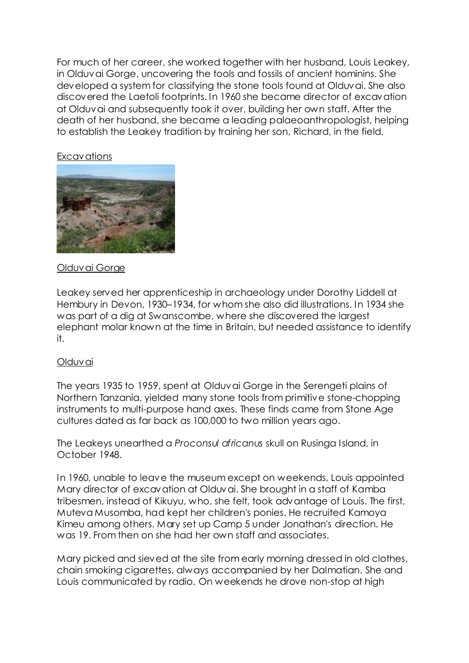For much of her career, she worked together with her husband, Louis [Leakey,](https://kids.kiddle.co/Louis_Leakey) in Olduvai Gorge, uncovering the [tools](https://kids.kiddle.co/Tool) and fossils of ancient [hominins.](https://kids.kiddle.co/Hominin) She developed a system for [classifying](https://kids.kiddle.co/Taxonomy) the stone tools found at Olduvai. She also discovered the Laetoli [footprints.](https://kids.kiddle.co/Laetoli_footprints) In 1960 she became director of excavation at Olduvai and subsequently took it over, building her own staff. After the death of her husband, she became a leading palaeoanthropologist, helping to establish the Leakey tradition by training her son, [Richard,](https://kids.kiddle.co/Richard_Leakey) in the field.

#### Excavations



#### Olduvai Gorge

Leakey served her apprenticeship in archaeology under Dorothy Liddell at Hembury in [Devon,](https://kids.kiddle.co/Devon) 1930–1934, for whom she also did illustrations. In 1934 she was part of a dig at Swanscombe, where she discovered the largest [elephant](https://kids.kiddle.co/Elephant) [molar](https://kids.kiddle.co/Molar) known at the time in Britain, but needed assistance to identify it.

#### Olduvai

The years 1935 to 1959, spent at [Olduvai Gorge](https://kids.kiddle.co/Olduvai_Gorge) in the [Serengeti](https://kids.kiddle.co/Serengeti) plains of Northern [Tanzania,](https://kids.kiddle.co/Tanzania) yielded many stone tools from primitive stone-chopping instruments to multi-purpose [hand axes.](https://kids.kiddle.co/Hand_axes) These finds came from [Stone Age](https://kids.kiddle.co/Stone_Age) cultures dated as far back as 100,000 to two million years ago.

The Leakeys unearthed a *Proconsul africanus* skull on Rusinga Island, in October 1948.

In 1960, unable to leave the museum except on weekends, Louis appointed Mary director of excavation at Olduvai. She brought in a staff of [Kamba](https://kids.kiddle.co/Kamba_people) tribesmen, instead of [Kikuyu,](https://kids.kiddle.co/Kikuyu) who, she felt, took advantage of Louis. The first, Muteva Musomba, had kept her children's ponies. He recruited [Kamoya](https://kids.kiddle.co/Kamoya_Kimeu)  [Kimeu](https://kids.kiddle.co/Kamoya_Kimeu) among others. Mary set up Camp 5 under Jonathan's direction. He was 19. From then on she had her own staff and associates.

Mary picked and sieved at the site from early morning dressed in old clothes, chain smoking cigarettes, always accompanied by her [Dalmatian.](https://kids.kiddle.co/Dalmatian_(dog)) She and Louis communicated by radio. On weekends he drove non-stop at high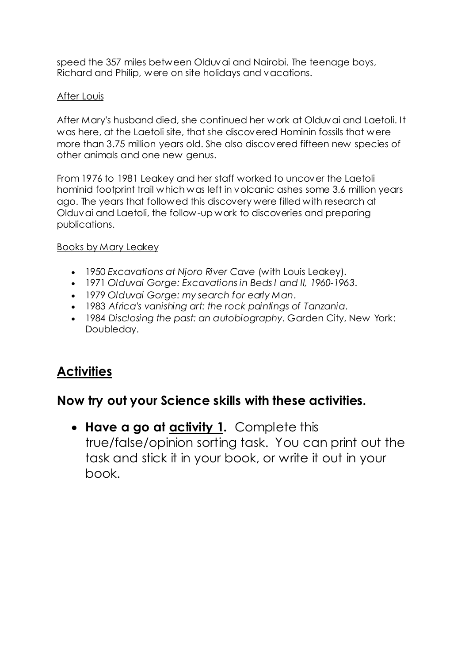speed the 357 miles between Olduvai and Nairobi. The teenage boys, Richard and Philip, were on site holidays and vacations.

#### After Louis

After Mary's husband died, she continued her work at Olduvai and [Laetoli.](https://kids.kiddle.co/Laetoli) It was here, at the Laetoli site, that she discovered [Hominin](https://kids.kiddle.co/Hominin) fossils that were more than 3.75 million years old. She also discovered fifteen new [species](https://kids.kiddle.co/Species) of other animals and one new [genus.](https://kids.kiddle.co/Genus)

From 1976 to 1981 Leakey and her staff worked to uncover the Laetoli hominid footprint trail which was left in [volcanic ashes](https://kids.kiddle.co/Volcanic_ash) some 3.6 million years ago. The years that followed this discovery were filled with research at Olduvai and Laetoli, the follow-up work to discoveries and preparing publications.

#### Books by Mary Leakey

- 1950 *Excavations at Njoro River Cave* (with Louis Leakey).
- 1971 *Olduvai Gorge: Excavations in Beds I and II, 1960-1963*.
- 1979 *Olduvai Gorge: my search for early Man*.
- 1983 *Africa's vanishing art: the rock paintings of [Tanzania](https://kids.kiddle.co/Tanzania)*.
- 1984 *Disclosing the past: an autobiography*. Garden City, New York: Doubleday.

## **Activities**

### **Now try out your Science skills with these activities.**

 **Have a go at activity 1.** Complete this true/false/opinion sorting task. You can print out the task and stick it in your book, or write it out in your book.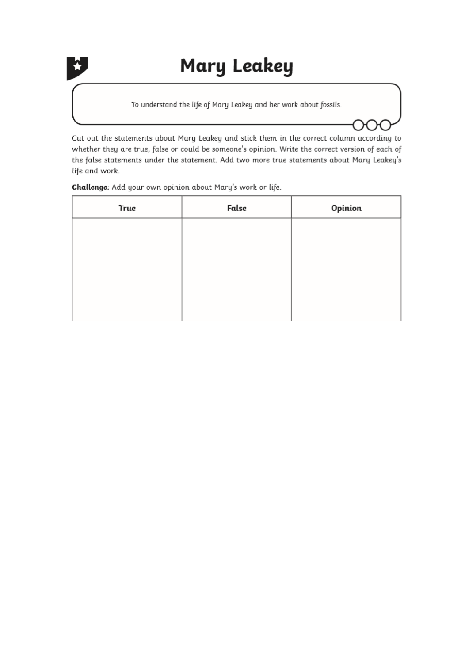

# **Mary Leakey**

To understand the life of Mary Leakey and her work about fossils.

Cut out the statements about Mary Leakey and stick them in the correct column according to whether they are true, false or could be someone's opinion. Write the correct version of each of the false statements under the statement. Add two more true statements about Mary Leakey's life and work.

Challenge: Add your own opinion about Mary's work or life.

| <b>True</b> | False | Opinion |
|-------------|-------|---------|
|             |       |         |
|             |       |         |
|             |       |         |
|             |       |         |
|             |       |         |